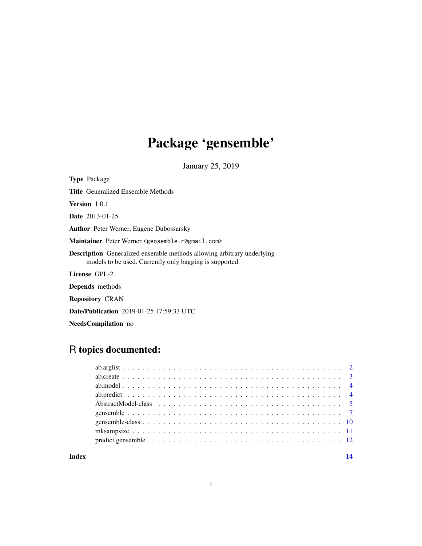# Package 'gensemble'

January 25, 2019

<span id="page-0-0"></span>

# R topics documented:

#### **Index** 2008 **[14](#page-13-0)**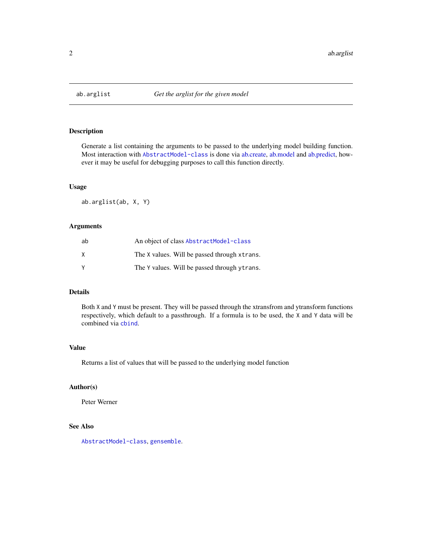<span id="page-1-0"></span>

#### Description

Generate a list containing the arguments to be passed to the underlying model building function. Most interaction with [AbstractModel-class](#page-4-1) is done via [ab.create,](#page-2-1) [ab.model](#page-3-1) and [ab.predict,](#page-3-2) however it may be useful for debugging purposes to call this function directly.

#### Usage

ab.arglist(ab, X, Y)

# Arguments

| ab | An object of class AbstractModel-class       |
|----|----------------------------------------------|
| X  | The X values. Will be passed through xtrans. |
| v  | The Y values. Will be passed through ytrans. |

# Details

Both X and Y must be present. They will be passed through the xtransfrom and ytransform functions respectively, which default to a passthrough. If a formula is to be used, the X and Y data will be combined via [cbind](#page-0-0).

#### Value

Returns a list of values that will be passed to the underlying model function

#### Author(s)

Peter Werner

# See Also

[AbstractModel-class](#page-4-1), [gensemble](#page-6-1).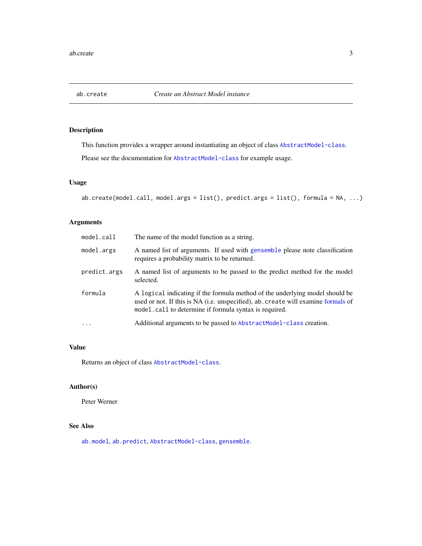<span id="page-2-1"></span><span id="page-2-0"></span>

# Description

This function provides a wrapper around instantiating an object of class [AbstractModel-class](#page-4-1).

Please see the documentation for [AbstractModel-class](#page-4-1) for example usage.

# Usage

ab.create(model.call, model.args = list(), predict.args = list(), formula = NA, ...)

# Arguments

| model.call   | The name of the model function as a string.                                                                                                                                                                                 |
|--------------|-----------------------------------------------------------------------------------------------------------------------------------------------------------------------------------------------------------------------------|
| model.args   | A named list of arguments. If used with gensemble please note classification<br>requires a probability matrix to be returned.                                                                                               |
| predict.args | A named list of arguments to be passed to the predict method for the model<br>selected.                                                                                                                                     |
| formula      | A logical indicating if the formula method of the underlying model should be<br>used or not. If this is NA (i.e. unspecified), ab. create will examine formals of<br>model.call to determine if formula syntax is required. |
| $\cdot$      | Additional arguments to be passed to AbstractModel-class creation.                                                                                                                                                          |

#### Value

Returns an object of class [AbstractModel-class](#page-4-1).

# Author(s)

Peter Werner

# See Also

[ab.model](#page-3-1), [ab.predict](#page-3-2), [AbstractModel-class](#page-4-1), [gensemble](#page-6-1).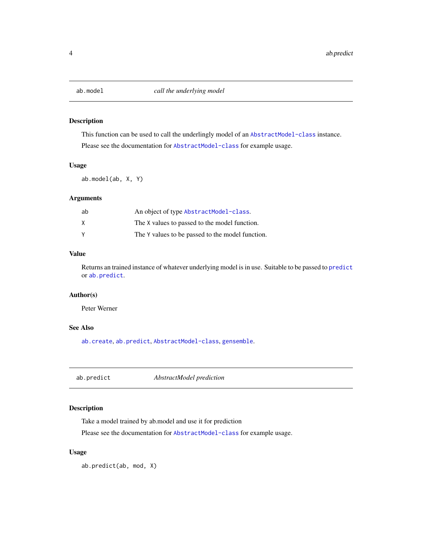<span id="page-3-1"></span><span id="page-3-0"></span>

# Description

This function can be used to call the underlingly model of an [AbstractModel-class](#page-4-1) instance. Please see the documentation for [AbstractModel-class](#page-4-1) for example usage.

#### Usage

ab.model(ab, X, Y)

# Arguments

| ab | An object of type AbstractModel-class.           |
|----|--------------------------------------------------|
| X  | The X values to passed to the model function.    |
| Υ  | The Y values to be passed to the model function. |

# Value

Returns an trained instance of whatever underlying model is in use. Suitable to be passed to [predict](#page-0-0) or [ab.predict](#page-3-2).

# Author(s)

Peter Werner

# See Also

[ab.create](#page-2-1), [ab.predict](#page-3-2), [AbstractModel-class](#page-4-1), [gensemble](#page-6-1).

<span id="page-3-2"></span>ab.predict *AbstractModel prediction*

# Description

Take a model trained by ab.model and use it for prediction

Please see the documentation for [AbstractModel-class](#page-4-1) for example usage.

# Usage

ab.predict(ab, mod, X)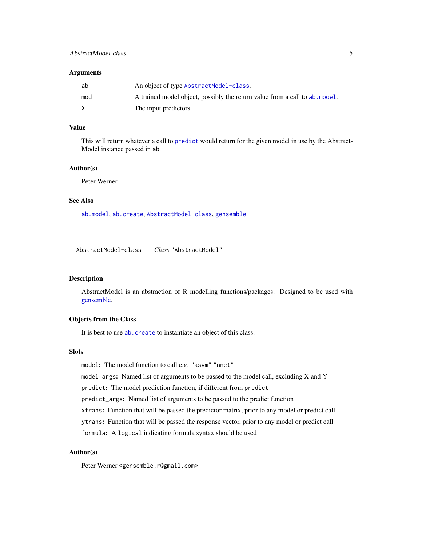# <span id="page-4-0"></span>AbstractModel-class 5

#### **Arguments**

| ab  | An object of type AbstractModel-class.                                      |
|-----|-----------------------------------------------------------------------------|
| mod | A trained model object, possibly the return value from a call to ab, model. |
| X   | The input predictors.                                                       |

#### Value

This will return whatever a call to [predict](#page-0-0) would return for the given model in use by the Abstract-Model instance passed in ab.

# Author(s)

Peter Werner

# See Also

[ab.model](#page-3-1), [ab.create](#page-2-1), [AbstractModel-class](#page-4-1), [gensemble](#page-6-1).

<span id="page-4-1"></span>AbstractModel-class *Class* "AbstractModel"

#### Description

AbstractModel is an abstraction of R modelling functions/packages. Designed to be used with [gensemble.](#page-6-1)

#### Objects from the Class

It is best to use [ab.create](#page-2-1) to instantiate an object of this class.

# Slots

model: The model function to call e.g. "ksvm" "nnet"

model\_args: Named list of arguments to be passed to the model call, excluding X and Y

predict: The model prediction function, if different from predict

predict\_args: Named list of arguments to be passed to the predict function

xtrans: Function that will be passed the predictor matrix, prior to any model or predict call

ytrans: Function that will be passed the response vector, prior to any model or predict call

formula: A logical indicating formula syntax should be used

### Author(s)

Peter Werner <gensemble.r@gmail.com>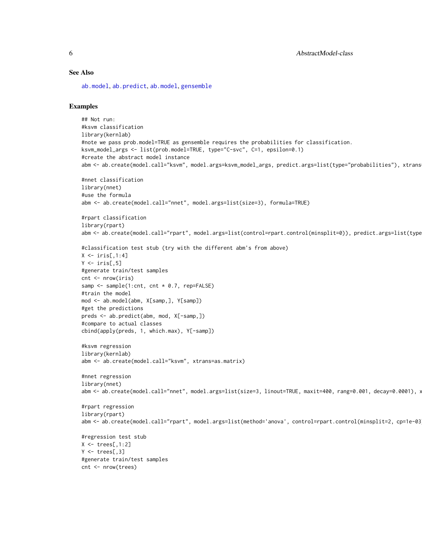#### <span id="page-5-0"></span>See Also

[ab.model](#page-3-1), [ab.predict](#page-3-2), [ab.model](#page-3-1), [gensemble](#page-6-1)

#### Examples

```
## Not run:
#ksvm classification
library(kernlab)
#note we pass prob.model=TRUE as gensemble requires the probabilities for classification.
ksvm_model_args <- list(prob.model=TRUE, type="C-svc", C=1, epsilon=0.1)
#create the abstract model instance
abm <- ab.create(model.call="ksvm", model.args=ksvm_model_args, predict.args=list(type="probabilities"), xtrans
#nnet classification
library(nnet)
#use the formula
abm <- ab.create(model.call="nnet", model.args=list(size=3), formula=TRUE)
#rpart classification
library(rpart)
abm <- ab.create(model.call="rpart", model.args=list(control=rpart.control(minsplit=0)), predict.args=list(type
#classification test stub (try with the different abm's from above)
X \leftarrow \text{iris}[, 1:4]Y \leftarrow \text{iris}[,5]
#generate train/test samples
cnt <- nrow(iris)
samp \leq sample(1:cnt, cnt \neq 0.7, rep=FALSE)
#train the model
mod <- ab.model(abm, X[samp,], Y[samp])
#get the predictions
preds <- ab.predict(abm, mod, X[-samp,])
#compare to actual classes
cbind(apply(preds, 1, which.max), Y[-samp])
#ksvm regression
library(kernlab)
abm <- ab.create(model.call="ksvm", xtrans=as.matrix)
#nnet regression
library(nnet)
abm <- ab.create(model.call="nnet", model.args=list(size=3, linout=TRUE, maxit=400, rang=0.001, decay=0.0001), >
#rpart regression
library(rpart)
abm <- ab.create(model.call="rpart", model.args=list(method='anova', control=rpart.control(minsplit=2, cp=1e-03
#regression test stub
X \leftarrow \text{trees}[, 1:2]Y \leftarrow \text{trees}[, 3]#generate train/test samples
cnt <- nrow(trees)
```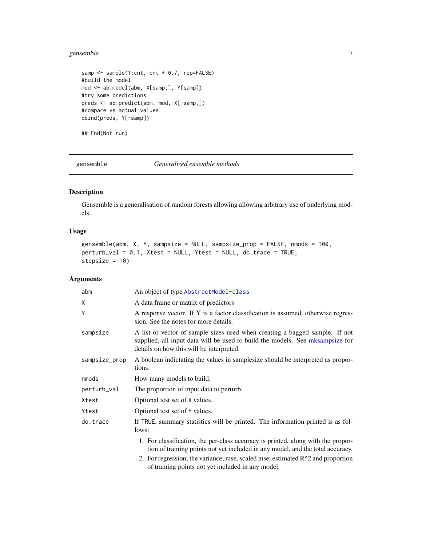# <span id="page-6-0"></span>gensemble 7

```
samp <- sample(1:cnt, cnt * 0.7, rep=FALSE)
#build the model
mod <- ab.model(abm, X[samp,], Y[samp])
#try some predictions
preds <- ab.predict(abm, mod, X[-samp,])
#compare vs actual values
cbind(preds, Y[-samp])
```
## End(Not run)

<span id="page-6-1"></span>gensemble *Generalized ensemble methods*

# Description

Gensemble is a generalisation of random forests allowing allowing arbitrary use of underlying models.

# Usage

```
gensemble(abm, X, Y, sampsize = NULL, sampsize_prop = FALSE, nmods = 100,
perturb_val = 0.1, Xtest = NULL, Ytest = NULL, do.trace = TRUE,
stepsize = 10)
```
# Arguments

| abm           | An object of type AbstractModel-class                                                                                                                                                                    |
|---------------|----------------------------------------------------------------------------------------------------------------------------------------------------------------------------------------------------------|
| X             | A data frame or matrix of predictors                                                                                                                                                                     |
| Y             | A response vector. If Y is a factor classification is assumed, otherwise regres-<br>sion. See the notes for more details.                                                                                |
| sampsize      | A list or vector of sample sizes used when creating a bagged sample. If not<br>supplied, all input data will be used to build the models. See mksampsize for<br>details on how this will be interpreted. |
| sampsize_prop | A boolean indictating the values in samplesize should be interpreted as propor-<br>tions.                                                                                                                |
| nmods         | How many models to build.                                                                                                                                                                                |
| perturb_val   | The proportion of input data to perturb.                                                                                                                                                                 |
| Xtest         | Optional test set of X values.                                                                                                                                                                           |
| Ytest         | Optional test set of Y values.                                                                                                                                                                           |
| do.trace      | If TRUE, summary statistics will be printed. The information printed is as fol-<br>lows:                                                                                                                 |
|               | 1. For classification, the per-class accuracy is printed, along with the propor-<br>tion of training points not yet included in any model, and the total accuracy.                                       |
|               | 2. For regression, the variance, mse, scaled mse, estimated $R^2$ and proportion<br>of training points not yet included in any model.                                                                    |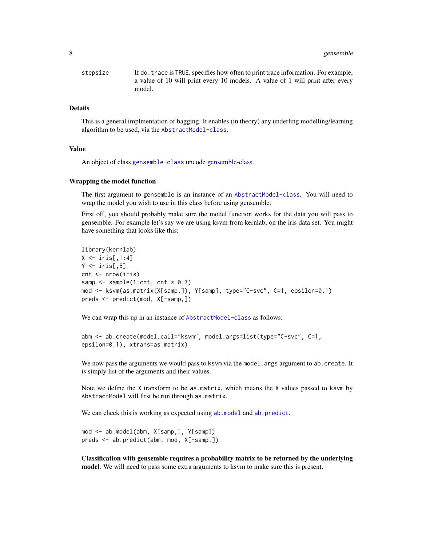<span id="page-7-0"></span>

| stepsize | If do, trace is TRUE, specifies how often to print trace information. For example, |
|----------|------------------------------------------------------------------------------------|
|          | a value of 10 will print every 10 models. A value of 1 will print after every      |
|          | model.                                                                             |

#### Details

This is a general implmentation of bagging. It enables (in theory) any underling modelling/learning algorithm to be used, via the [AbstractModel-class](#page-4-1).

#### Value

An object of class [gensemble-class](#page-9-1) uncode [gensemble-class.](#page-9-1)

#### Wrapping the model function

The first argument to gensemble is an instance of an [AbstractModel-class](#page-4-1). You will need to wrap the model you wish to use in this class before using gensemble.

First off, you should probably make sure the model function works for the data you will pass to gensemble. For example let's say we are using ksvm from kernlab, on the iris data set. You might have something that looks like this:

```
library(kernlab)
X \leftarrow \text{iris}[1:4]Y \leftarrow \text{iris}[,5]
cnt <- nrow(iris)
samp \leq sample(1:cnt, cnt \neq 0.7)
mod <- ksvm(as.matrix(X[samp,]), Y[samp], type="C-svc", C=1, epsilon=0.1)
preds <- predict(mod, X[-samp,])
```
We can wrap this up in an instance of [AbstractModel-class](#page-4-1) as follows:

```
abm <- ab.create(model.call="ksvm", model.args=list(type="C-svc", C=1,
epsilon=0.1), xtrans=as.matrix)
```
We now pass the arguments we would pass to ksvm via the model. args argument to ab. create. It is simply list of the arguments and their values.

Note we define the X transform to be as.matrix, which means the X values passed to ksvm by AbstractModel will first be run through as.matrix.

We can check this is working as expected using [ab.model](#page-3-1) and [ab.predict](#page-3-2).

mod <- ab.model(abm, X[samp,], Y[samp]) preds <- ab.predict(abm, mod, X[-samp,])

Classification with gensemble requires a probability matrix to be returned by the underlying model. We will need to pass some extra arguments to ksvm to make sure this is present.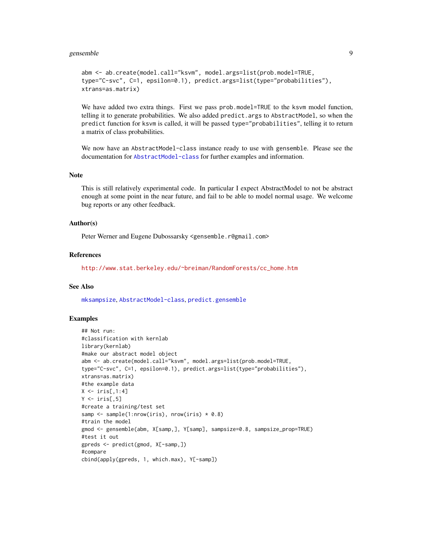#### <span id="page-8-0"></span>gensemble **9**

```
abm <- ab.create(model.call="ksvm", model.args=list(prob.model=TRUE,
type="C-svc", C=1, epsilon=0.1), predict.args=list(type="probabilities"),
xtrans=as.matrix)
```
We have added two extra things. First we pass prob.model=TRUE to the ksvm model function, telling it to generate probabilities. We also added predict.args to AbstractModel, so when the predict function for ksvm is called, it will be passed type="probabilities", telling it to return a matrix of class probabilities.

We now have an AbstractModel-class instance ready to use with gensemble. Please see the documentation for [AbstractModel-class](#page-4-1) for further examples and information.

# Note

This is still relatively experimental code. In particular I expect AbstractModel to not be abstract enough at some point in the near future, and fail to be able to model normal usage. We welcome bug reports or any other feedback.

#### Author(s)

Peter Werner and Eugene Dubossarsky <gensemble.r@gmail.com>

# References

[http://www.stat.berkeley.edu/~breiman/RandomForests/cc\\_home.htm](http://www.stat.berkeley.edu/~breiman/RandomForests/cc_home.htm)

#### See Also

[mksampsize](#page-10-1), [AbstractModel-class](#page-4-1), [predict.gensemble](#page-11-1)

#### Examples

```
## Not run:
#classification with kernlab
library(kernlab)
#make our abstract model object
abm <- ab.create(model.call="ksvm", model.args=list(prob.model=TRUE,
type="C-svc", C=1, epsilon=0.1), predict.args=list(type="probabilities"),
xtrans=as.matrix)
#the example data
X \leftarrow \{ \text{iris}[0, 1:4] \}Y \leftarrow \text{iris}[, 5]#create a training/test set
samp <- sample(1:nrow(iris), nrow(iris) * 0.8)
#train the model
gmod <- gensemble(abm, X[samp,], Y[samp], sampsize=0.8, sampsize_prop=TRUE)
#test it out
gpreds <- predict(gmod, X[-samp,])
#compare
cbind(apply(gpreds, 1, which.max), Y[-samp])
```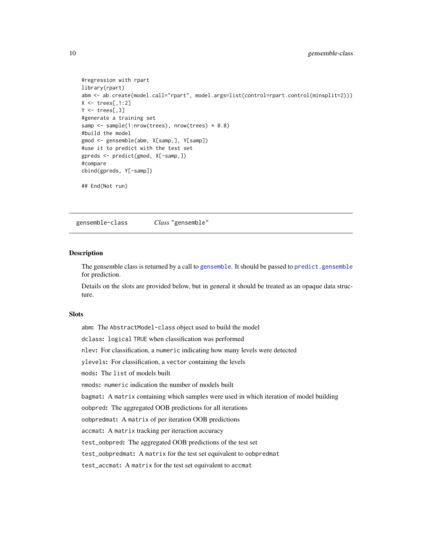```
#regression with rpart
library(rpart)
abm <- ab.create(model.call="rpart", model.args=list(control=rpart.control(minsplit=2)))
X \leftarrow \text{trees}[, 1:2]Y \leftarrow \text{trees}[, 3]#generate a training set
samp <- sample(1:nrow(trees), nrow(trees) * 0.8)
#build the model
gmod <- gensemble(abm, X[samp,], Y[samp])
#use it to predict with the test set
gpreds <- predict(gmod, X[-samp,])
#compare
cbind(gpreds, Y[-samp])
## End(Not run)
```
<span id="page-9-1"></span>gensemble-class *Class* "gensemble"

#### Description

The gensemble class is returned by a call to [gensemble](#page-6-1). It should be passed to [predict.gensemble](#page-11-1) for prediction.

Details on the slots are provided below, but in general it should be treated as an opaque data structure.

# Slots

abm: The AbstractModel-class object used to build the model dclass: logical TRUE when classification was performed nlev: For classification, a numeric indicating how many levels were detected ylevels: For classification, a vector containing the levels mods: The list of models built nmods: numeric indication the number of models built bagmat: A matrix containing which samples were used in which iteration of model building oobpred: The aggregated OOB predictions for all iterations oobpredmat: A matrix of per iteration OOB predictions accmat: A matrix tracking per iteraction accuracy test\_oobpred: The aggregated OOB predictions of the test set test\_oobpredmat: A matrix for the test set equivalent to oobpredmat test\_accmat: A matrix for the test set equivalent to accmat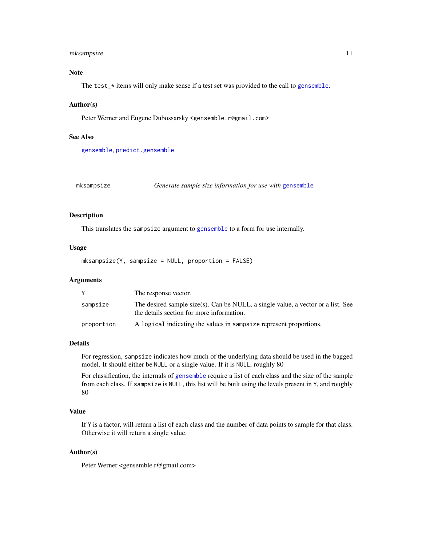# <span id="page-10-0"></span>mksampsize 11

# Note

The test\_\* items will only make sense if a test set was provided to the call to [gensemble](#page-6-1).

#### Author(s)

Peter Werner and Eugene Dubossarsky <gensemble.r@gmail.com>

#### See Also

[gensemble](#page-6-1), [predict.gensemble](#page-11-1)

<span id="page-10-1"></span>mksampsize *Generate sample size information for use with* [gensemble](#page-6-1)

# Description

This translates the sampsize argument to [gensemble](#page-6-1) to a form for use internally.

#### Usage

mksampsize(Y, sampsize = NULL, proportion = FALSE)

#### Arguments

|            | The response vector.                                                                                                          |
|------------|-------------------------------------------------------------------------------------------------------------------------------|
| sampsize   | The desired sample size(s). Can be NULL, a single value, a vector or a list. See<br>the details section for more information. |
| proportion | A logical indicating the values in sampsize represent proportions.                                                            |

#### Details

For regression, sampsize indicates how much of the underlying data should be used in the bagged model. It should either be NULL or a single value. If it is NULL, roughly 80

For classification, the internals of [gensemble](#page-6-1) require a list of each class and the size of the sample from each class. If sampsize is NULL, this list will be built using the levels present in Y, and roughly 80

#### Value

If Y is a factor, will return a list of each class and the number of data points to sample for that class. Otherwise it will return a single value.

# Author(s)

Peter Werner <gensemble.r@gmail.com>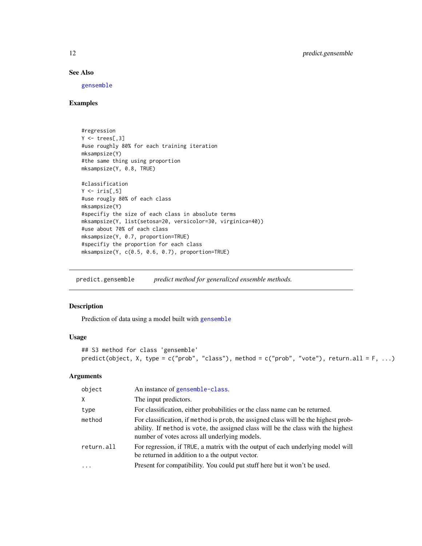# See Also

[gensemble](#page-6-1)

#### Examples

```
#regression
Y \leftarrow \text{trees}[, 3]#use roughly 80% for each training iteration
mksampsize(Y)
#the same thing using proportion
mksampsize(Y, 0.8, TRUE)
#classification
Y \leftarrow \text{iris}[.5]
#use rougly 80% of each class
mksampsize(Y)
#specifiy the size of each class in absolute terms
mksampsize(Y, list(setosa=20, versicolor=30, virginica=40))
#use about 70% of each class
mksampsize(Y, 0.7, proportion=TRUE)
#specifiy the proportion for each class
mksampsize(Y, c(0.5, 0.6, 0.7), proportion=TRUE)
```
<span id="page-11-1"></span>predict.gensemble *predict method for generalized ensemble methods.*

# Description

Prediction of data using a model built with [gensemble](#page-6-1)

# Usage

```
## S3 method for class 'gensemble'
predict(object, X, type = c("prob", "class"), method = c("prob", "vote"), return.all = F, ...)
```
#### Arguments

| object     | An instance of gensemble-class.                                                                                                                                                                                           |
|------------|---------------------------------------------------------------------------------------------------------------------------------------------------------------------------------------------------------------------------|
| X.         | The input predictors.                                                                                                                                                                                                     |
| type       | For classification, either probabilities or the class name can be returned.                                                                                                                                               |
| method     | For classification, if method is prob, the assigned class will be the highest prob-<br>ability. If method is vote, the assigned class will be the class with the highest<br>number of votes across all underlying models. |
| return.all | For regression, if TRUE, a matrix with the output of each underlying model will<br>be returned in addition to a the output vector.                                                                                        |
| $\ddots$   | Present for compatibility. You could put stuff here but it won't be used.                                                                                                                                                 |

<span id="page-11-0"></span>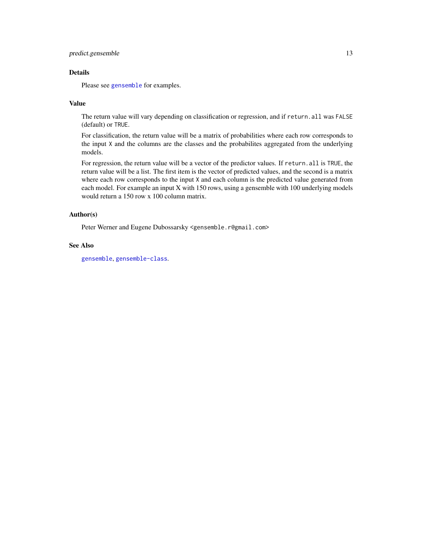# <span id="page-12-0"></span>predict.gensemble 13

# Details

Please see [gensemble](#page-6-1) for examples.

#### Value

The return value will vary depending on classification or regression, and if return.all was FALSE (default) or TRUE.

For classification, the return value will be a matrix of probabilities where each row corresponds to the input X and the columns are the classes and the probabilites aggregated from the underlying models.

For regression, the return value will be a vector of the predictor values. If return.all is TRUE, the return value will be a list. The first item is the vector of predicted values, and the second is a matrix where each row corresponds to the input X and each column is the predicted value generated from each model. For example an input X with 150 rows, using a gensemble with 100 underlying models would return a 150 row x 100 column matrix.

#### Author(s)

Peter Werner and Eugene Dubossarsky <gensemble.r@gmail.com>

#### See Also

[gensemble](#page-6-1), [gensemble-class](#page-9-1).